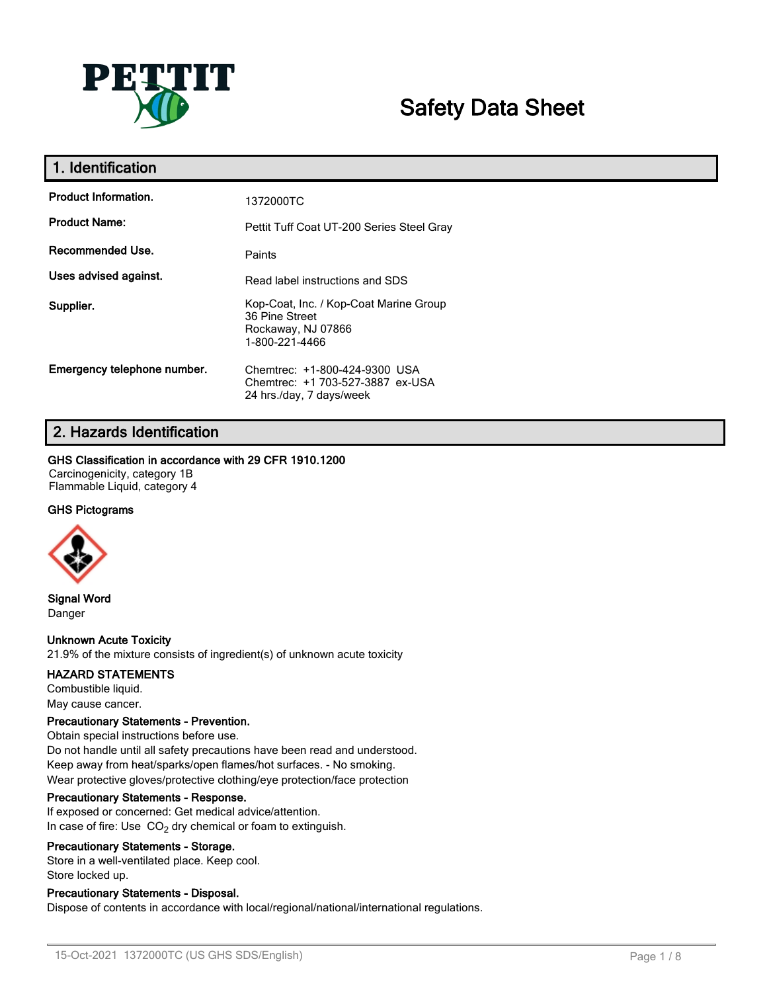

# **Safety Data Sheet**

| 1. Identification           |                                                                                                  |
|-----------------------------|--------------------------------------------------------------------------------------------------|
| <b>Product Information.</b> | 1372000TC                                                                                        |
| <b>Product Name:</b>        | Pettit Tuff Coat UT-200 Series Steel Gray                                                        |
| Recommended Use.            | Paints                                                                                           |
| Uses advised against.       | Read label instructions and SDS                                                                  |
| Supplier.                   | Kop-Coat, Inc. / Kop-Coat Marine Group<br>36 Pine Street<br>Rockaway, NJ 07866<br>1-800-221-4466 |
| Emergency telephone number. | Chemtrec: +1-800-424-9300 USA<br>Chemtrec: +1 703-527-3887 ex-USA<br>24 hrs./day, 7 days/week    |

# **2. Hazards Identification**

### **GHS Classification in accordance with 29 CFR 1910.1200**

Carcinogenicity, category 1B Flammable Liquid, category 4

### **GHS Pictograms**



**Signal Word** Danger

# **Unknown Acute Toxicity**

21.9% of the mixture consists of ingredient(s) of unknown acute toxicity

#### **HAZARD STATEMENTS**

Combustible liquid. May cause cancer.

#### **Precautionary Statements - Prevention.**

Obtain special instructions before use. Do not handle until all safety precautions have been read and understood. Keep away from heat/sparks/open flames/hot surfaces. - No smoking. Wear protective gloves/protective clothing/eye protection/face protection

#### **Precautionary Statements - Response.**

If exposed or concerned: Get medical advice/attention. In case of fire: Use  $CO<sub>2</sub>$  dry chemical or foam to extinguish.

#### **Precautionary Statements - Storage.**

Store in a well-ventilated place. Keep cool. Store locked up.

### **Precautionary Statements - Disposal.**

Dispose of contents in accordance with local/regional/national/international regulations.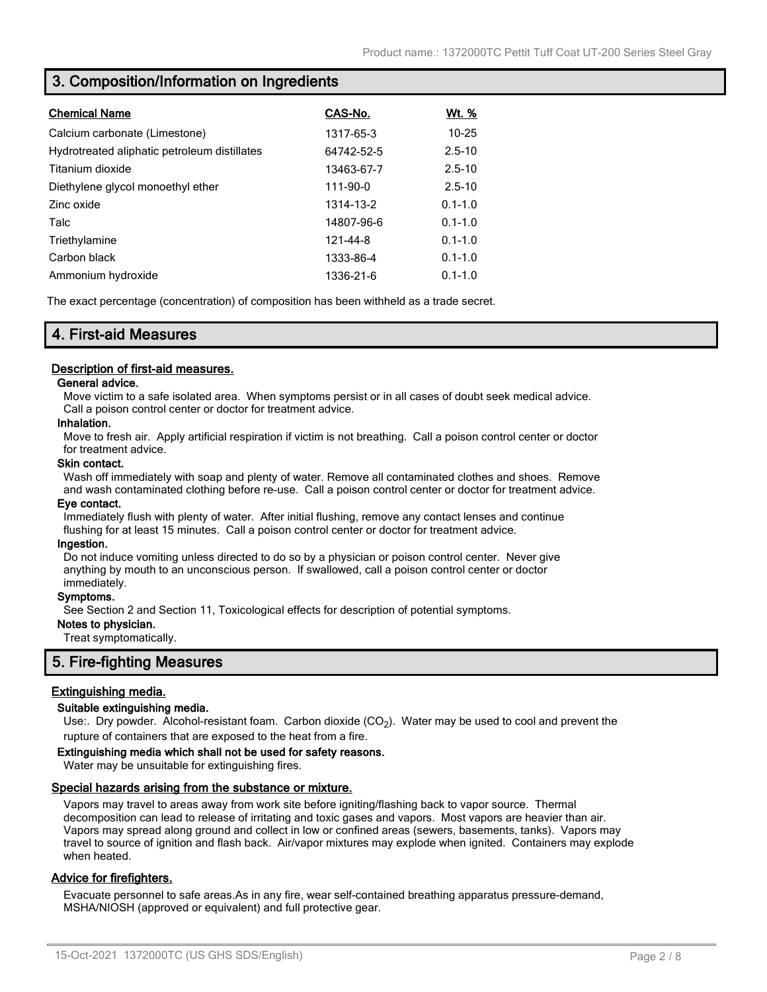# **3. Composition/Information on Ingredients**

| <b>Chemical Name</b>                         | CAS-No.    | <u>Wt. %</u> |
|----------------------------------------------|------------|--------------|
|                                              |            |              |
| Calcium carbonate (Limestone)                | 1317-65-3  | $10 - 25$    |
| Hydrotreated aliphatic petroleum distillates | 64742-52-5 | $2.5 - 10$   |
| Titanium dioxide                             | 13463-67-7 | $2.5 - 10$   |
| Diethylene glycol monoethyl ether            | 111-90-0   | $2.5 - 10$   |
| Zinc oxide                                   | 1314-13-2  | $0.1 - 1.0$  |
| Talc                                         | 14807-96-6 | $0.1 - 1.0$  |
| Triethylamine                                | 121-44-8   | $0.1 - 1.0$  |
| Carbon black                                 | 1333-86-4  | $0.1 - 1.0$  |
| Ammonium hydroxide                           | 1336-21-6  | $0.1 - 1.0$  |

The exact percentage (concentration) of composition has been withheld as a trade secret.

# **4. First-aid Measures**

#### **Description of first-aid measures.**

#### **General advice.**

Move victim to a safe isolated area. When symptoms persist or in all cases of doubt seek medical advice. Call a poison control center or doctor for treatment advice.

#### **Inhalation.**

Move to fresh air. Apply artificial respiration if victim is not breathing. Call a poison control center or doctor for treatment advice.

#### **Skin contact.**

Wash off immediately with soap and plenty of water. Remove all contaminated clothes and shoes. Remove and wash contaminated clothing before re-use. Call a poison control center or doctor for treatment advice.

#### **Eye contact.**

Immediately flush with plenty of water. After initial flushing, remove any contact lenses and continue flushing for at least 15 minutes. Call a poison control center or doctor for treatment advice.

#### **Ingestion.**

Do not induce vomiting unless directed to do so by a physician or poison control center. Never give anything by mouth to an unconscious person. If swallowed, call a poison control center or doctor immediately.

#### **Symptoms.**

See Section 2 and Section 11, Toxicological effects for description of potential symptoms.

#### **Notes to physician.**

Treat symptomatically.

# **5. Fire-fighting Measures**

### **Extinguishing media.**

#### **Suitable extinguishing media.**

Use:. Dry powder. Alcohol-resistant foam. Carbon dioxide (CO<sub>2</sub>). Water may be used to cool and prevent the rupture of containers that are exposed to the heat from a fire.

#### **Extinguishing media which shall not be used for safety reasons.**

Water may be unsuitable for extinguishing fires.

#### **Special hazards arising from the substance or mixture.**

Vapors may travel to areas away from work site before igniting/flashing back to vapor source. Thermal decomposition can lead to release of irritating and toxic gases and vapors. Most vapors are heavier than air. Vapors may spread along ground and collect in low or confined areas (sewers, basements, tanks). Vapors may travel to source of ignition and flash back. Air/vapor mixtures may explode when ignited. Containers may explode when heated.

### **Advice for firefighters.**

Evacuate personnel to safe areas.As in any fire, wear self-contained breathing apparatus pressure-demand, MSHA/NIOSH (approved or equivalent) and full protective gear.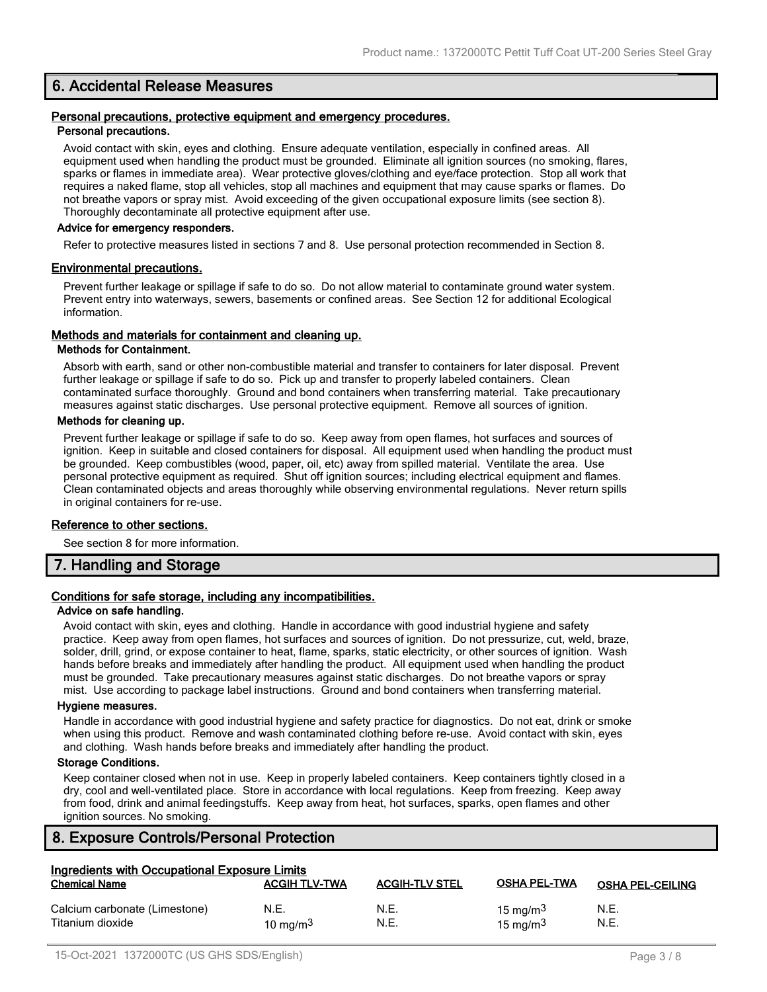# **6. Accidental Release Measures**

#### **Personal precautions, protective equipment and emergency procedures. Personal precautions.**

Avoid contact with skin, eyes and clothing. Ensure adequate ventilation, especially in confined areas. All equipment used when handling the product must be grounded. Eliminate all ignition sources (no smoking, flares, sparks or flames in immediate area). Wear protective gloves/clothing and eye/face protection. Stop all work that requires a naked flame, stop all vehicles, stop all machines and equipment that may cause sparks or flames. Do not breathe vapors or spray mist. Avoid exceeding of the given occupational exposure limits (see section 8). Thoroughly decontaminate all protective equipment after use.

#### **Advice for emergency responders.**

Refer to protective measures listed in sections 7 and 8. Use personal protection recommended in Section 8.

#### **Environmental precautions.**

Prevent further leakage or spillage if safe to do so. Do not allow material to contaminate ground water system. Prevent entry into waterways, sewers, basements or confined areas. See Section 12 for additional Ecological information.

#### **Methods and materials for containment and cleaning up.**

#### **Methods for Containment.**

Absorb with earth, sand or other non-combustible material and transfer to containers for later disposal. Prevent further leakage or spillage if safe to do so. Pick up and transfer to properly labeled containers. Clean contaminated surface thoroughly. Ground and bond containers when transferring material. Take precautionary measures against static discharges. Use personal protective equipment. Remove all sources of ignition.

#### **Methods for cleaning up.**

Prevent further leakage or spillage if safe to do so. Keep away from open flames, hot surfaces and sources of ignition. Keep in suitable and closed containers for disposal. All equipment used when handling the product must be grounded. Keep combustibles (wood, paper, oil, etc) away from spilled material. Ventilate the area. Use personal protective equipment as required. Shut off ignition sources; including electrical equipment and flames. Clean contaminated objects and areas thoroughly while observing environmental regulations. Never return spills in original containers for re-use.

#### **Reference to other sections.**

See section 8 for more information.

# **7. Handling and Storage**

# **Conditions for safe storage, including any incompatibilities.**

#### **Advice on safe handling.**

Avoid contact with skin, eyes and clothing. Handle in accordance with good industrial hygiene and safety practice. Keep away from open flames, hot surfaces and sources of ignition. Do not pressurize, cut, weld, braze, solder, drill, grind, or expose container to heat, flame, sparks, static electricity, or other sources of ignition. Wash hands before breaks and immediately after handling the product. All equipment used when handling the product must be grounded. Take precautionary measures against static discharges. Do not breathe vapors or spray mist. Use according to package label instructions. Ground and bond containers when transferring material.

#### **Hygiene measures.**

Handle in accordance with good industrial hygiene and safety practice for diagnostics. Do not eat, drink or smoke when using this product. Remove and wash contaminated clothing before re-use. Avoid contact with skin, eyes and clothing. Wash hands before breaks and immediately after handling the product.

#### **Storage Conditions.**

Keep container closed when not in use. Keep in properly labeled containers. Keep containers tightly closed in a dry, cool and well-ventilated place. Store in accordance with local regulations. Keep from freezing. Keep away from food, drink and animal feedingstuffs. Keep away from heat, hot surfaces, sparks, open flames and other ignition sources. No smoking.

# **8. Exposure Controls/Personal Protection**

| Ingredients with Occupational Exposure Limits     |                      |                       |                                    |                         |
|---------------------------------------------------|----------------------|-----------------------|------------------------------------|-------------------------|
| <b>Chemical Name</b>                              | <b>ACGIH TLV-TWA</b> | <b>ACGIH-TLV STEL</b> | <b>OSHA PEL-TWA</b>                | <b>OSHA PEL-CEILING</b> |
| Calcium carbonate (Limestone)<br>Titanium dioxide | N.E.<br>10 mg/m $3$  | N.E.<br>N.E.          | 15 mg/m $3$<br>$15 \text{ ma/m}^3$ | N.E.<br>N.E.            |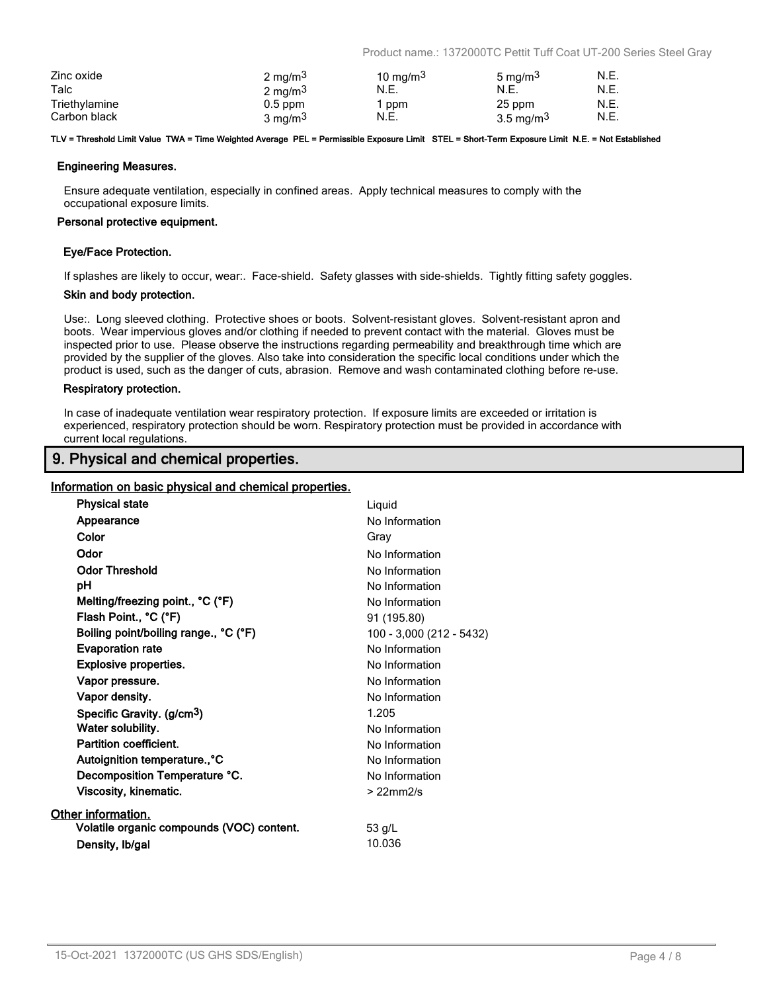Product name.: 1372000TC Pettit Tuff Coat UT-200 Series Steel Gray

| Zinc oxide    | 2 mg/m <sup>3</sup> | 10 mg/m $3$ | 5 mg/m <sup>3</sup> | N.E. |
|---------------|---------------------|-------------|---------------------|------|
| Talc          | 2 mg/m <sup>3</sup> | N.E.        | N.E.                | N.E. |
| Triethylamine | $0.5$ ppm           | ppm         | 25 ppm              | N.E. |
| Carbon black  | 3 mg/m <sup>3</sup> | N.E.        | 3.5 mg/m $3$        | N.E. |

#### **TLV = Threshold Limit Value TWA = Time Weighted Average PEL = Permissible Exposure Limit STEL = Short-Term Exposure Limit N.E. = Not Established**

#### **Engineering Measures.**

Ensure adequate ventilation, especially in confined areas. Apply technical measures to comply with the occupational exposure limits.

#### **Personal protective equipment.**

#### **Eye/Face Protection.**

If splashes are likely to occur, wear:. Face-shield. Safety glasses with side-shields. Tightly fitting safety goggles.

#### **Skin and body protection.**

Use:. Long sleeved clothing. Protective shoes or boots. Solvent-resistant gloves. Solvent-resistant apron and boots. Wear impervious gloves and/or clothing if needed to prevent contact with the material. Gloves must be inspected prior to use. Please observe the instructions regarding permeability and breakthrough time which are provided by the supplier of the gloves. Also take into consideration the specific local conditions under which the product is used, such as the danger of cuts, abrasion. Remove and wash contaminated clothing before re-use.

#### **Respiratory protection.**

In case of inadequate ventilation wear respiratory protection. If exposure limits are exceeded or irritation is experienced, respiratory protection should be worn. Respiratory protection must be provided in accordance with current local regulations.

# **9. Physical and chemical properties.**

#### **Information on basic physical and chemical properties.**

| <b>Physical state</b>                     | Liquid                   |
|-------------------------------------------|--------------------------|
| Appearance                                | No Information           |
| Color                                     | Gray                     |
| Odor                                      | No Information           |
| <b>Odor Threshold</b>                     | No Information           |
| рH                                        | No Information           |
| Melting/freezing point., °C (°F)          | No Information           |
| Flash Point., °C (°F)                     | 91 (195.80)              |
| Boiling point/boiling range., °C (°F)     | 100 - 3,000 (212 - 5432) |
| <b>Evaporation rate</b>                   | No Information           |
| <b>Explosive properties.</b>              | No Information           |
| Vapor pressure.                           | No Information           |
| Vapor density.                            | No Information           |
| Specific Gravity. (g/cm <sup>3</sup> )    | 1.205                    |
| Water solubility.                         | No Information           |
| <b>Partition coefficient.</b>             | No Information           |
| Autoignition temperature., °C             | No Information           |
| Decomposition Temperature °C.             | No Information           |
| Viscosity, kinematic.                     | $>22$ mm $2/s$           |
| Other information.                        |                          |
| Volatile organic compounds (VOC) content. | 53 g/L                   |
| Density, Ib/gal                           | 10.036                   |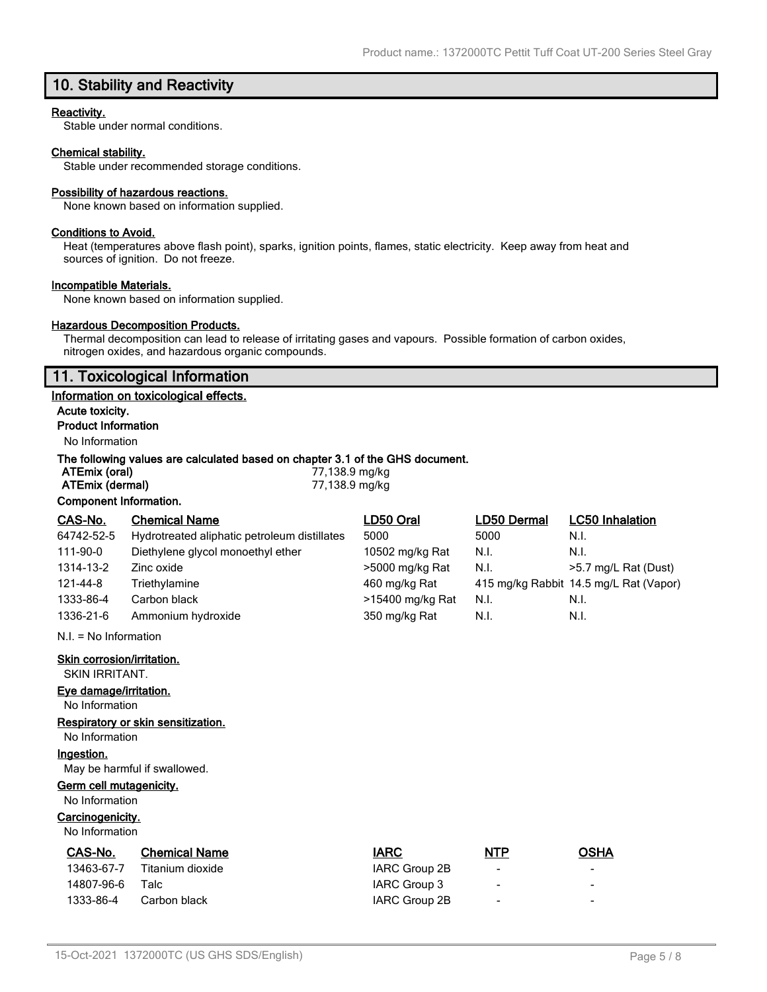# **10. Stability and Reactivity**

#### **Reactivity.**

Stable under normal conditions.

### **Chemical stability.**

Stable under recommended storage conditions.

#### **Possibility of hazardous reactions.**

None known based on information supplied.

#### **Conditions to Avoid.**

Heat (temperatures above flash point), sparks, ignition points, flames, static electricity. Keep away from heat and sources of ignition. Do not freeze.

#### **Incompatible Materials.**

None known based on information supplied.

### **Hazardous Decomposition Products.**

Thermal decomposition can lead to release of irritating gases and vapours. Possible formation of carbon oxides, nitrogen oxides, and hazardous organic compounds.

# **11. Toxicological Information**

#### **Information on toxicological effects.**

**Acute toxicity.**

# **Product Information**

No Information

#### **The following values are calculated based on chapter 3.1 of the GHS document.**

| ATEmix (oral)          | 77,138.9 mg/kg |
|------------------------|----------------|
| ATEmix (dermal)        | 77,138.9 mg/kg |
| Component Information. |                |

| CAS-No.    | <b>Chemical Name</b>                         | LD50 Oral        | LD50 Dermal | <b>LC50 Inhalation</b>                 |
|------------|----------------------------------------------|------------------|-------------|----------------------------------------|
| 64742-52-5 | Hydrotreated aliphatic petroleum distillates | 5000             | 5000        | N.I.                                   |
| 111-90-0   | Diethylene glycol monoethyl ether            | 10502 mg/kg Rat  | N.I.        | N.I.                                   |
| 1314-13-2  | Zinc oxide                                   | >5000 mg/kg Rat  | N.I.        | >5.7 mg/L Rat (Dust)                   |
| 121-44-8   | Triethylamine                                | 460 mg/kg Rat    |             | 415 mg/kg Rabbit 14.5 mg/L Rat (Vapor) |
| 1333-86-4  | Carbon black                                 | >15400 mg/kg Rat | N.I.        | N.I.                                   |
| 1336-21-6  | Ammonium hydroxide                           | 350 mg/kg Rat    | N.I.        | N.I.                                   |

N.I. = No Information

**Skin corrosion/irritation.**

SKIN IRRITANT.

### **Eye damage/irritation.**

No Information

# **Respiratory or skin sensitization.**

No Information

#### **Ingestion.**

May be harmful if swallowed.

### **Germ cell mutagenicity.**

No Information

# **Carcinogenicity.**

No Information

| CAS-No.    | <b>Chemical Name</b> | <b>IARC</b>   | <b>NTP</b>               | <b>OSHA</b>              |
|------------|----------------------|---------------|--------------------------|--------------------------|
| 13463-67-7 | Titanium dioxide     | IARC Group 2B | $\overline{\phantom{0}}$ | $\overline{\phantom{0}}$ |
| 14807-96-6 | Talc                 | IARC Group 3  | $\overline{\phantom{0}}$ | -                        |
| 1333-86-4  | Carbon black         | IARC Group 2B | $\overline{\phantom{a}}$ | -                        |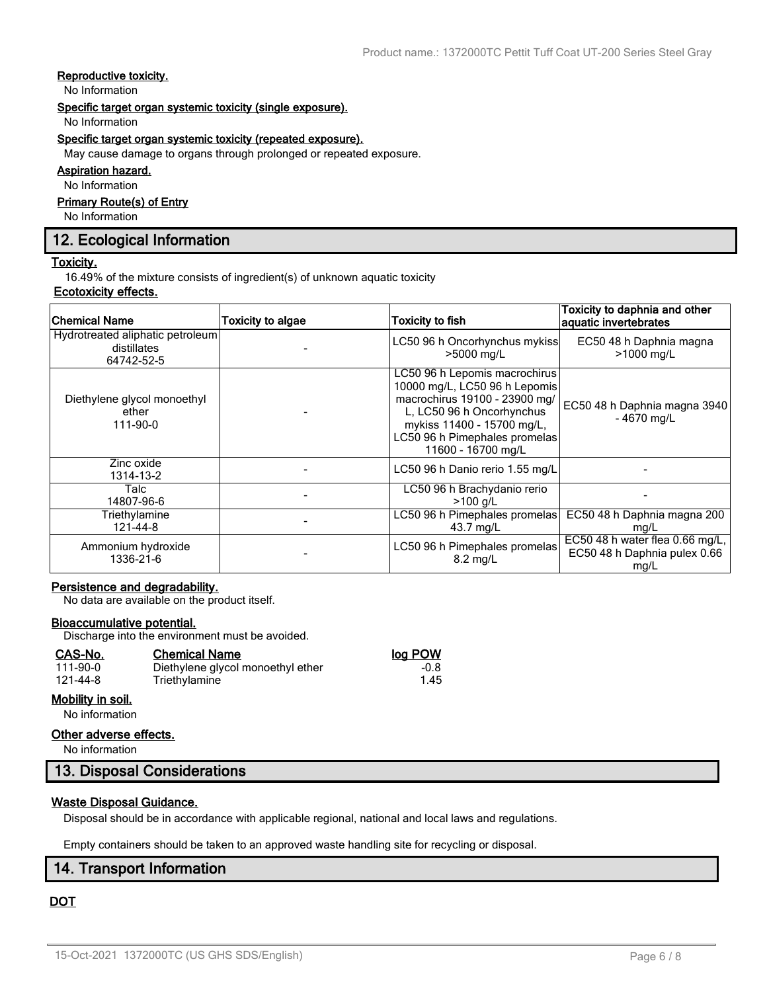# **Reproductive toxicity.**

No Information

#### **Specific target organ systemic toxicity (single exposure).**

No Information

#### **Specific target organ systemic toxicity (repeated exposure).**

May cause damage to organs through prolonged or repeated exposure.

### **Aspiration hazard.**

No Information

### **Primary Route(s) of Entry**

No Information

# **12. Ecological Information**

#### **Toxicity.**

16.49% of the mixture consists of ingredient(s) of unknown aquatic toxicity

# **Ecotoxicity effects.**

| <b>Chemical Name</b>                                          | <b>Toxicity to algae</b> | <b>Toxicity to fish</b>                                                                                                                                                                                           | Toxicity to daphnia and other<br>aquatic invertebrates                    |
|---------------------------------------------------------------|--------------------------|-------------------------------------------------------------------------------------------------------------------------------------------------------------------------------------------------------------------|---------------------------------------------------------------------------|
| Hydrotreated aliphatic petroleum<br>distillates<br>64742-52-5 |                          | LC50 96 h Oncorhynchus mykiss<br>>5000 mg/L                                                                                                                                                                       | EC50 48 h Daphnia magna<br>>1000 mg/L                                     |
| Diethylene glycol monoethyl<br>ether<br>111-90-0              |                          | LC50 96 h Lepomis macrochirus<br>10000 mg/L, LC50 96 h Lepomis<br>macrochirus 19100 - 23900 mg/<br>L, LC50 96 h Oncorhynchus<br>mykiss 11400 - 15700 mg/L,<br>LC50 96 h Pimephales promelas<br>11600 - 16700 mg/L | EC50 48 h Daphnia magna 3940<br>$-4670$ ma/L                              |
| Zinc oxide<br>1314-13-2                                       |                          | LC50 96 h Danio rerio 1.55 mg/L                                                                                                                                                                                   |                                                                           |
| Talc<br>14807-96-6                                            |                          | LC50 96 h Brachydanio rerio<br>$>100$ g/L                                                                                                                                                                         |                                                                           |
| Triethylamine<br>121-44-8                                     |                          | LC50 96 h Pimephales promelas<br>43.7 mg/L                                                                                                                                                                        | EC50 48 h Daphnia magna 200<br>mg/L                                       |
| Ammonium hydroxide<br>1336-21-6                               |                          | LC50 96 h Pimephales promelas<br>$8.2 \text{ ma/L}$                                                                                                                                                               | EC50 48 h water flea $0.66$ mg/L,<br>EC50 48 h Daphnia pulex 0.66<br>mg/L |

### **Persistence and degradability.**

No data are available on the product itself.

#### **Bioaccumulative potential.**

Discharge into the environment must be avoided.

| CAS-No.           | <b>Chemical Name</b>              | log POW |
|-------------------|-----------------------------------|---------|
| 111-90-0          | Diethylene glycol monoethyl ether | $-0.8$  |
| 121-44-8          | Triethylamine                     | 1.45    |
| Mobility in soil. |                                   |         |

# No information

# **Other adverse effects.**

No information

# **13. Disposal Considerations**

#### **Waste Disposal Guidance.**

Disposal should be in accordance with applicable regional, national and local laws and regulations.

Empty containers should be taken to an approved waste handling site for recycling or disposal.

# **14. Transport Information**

# **DOT**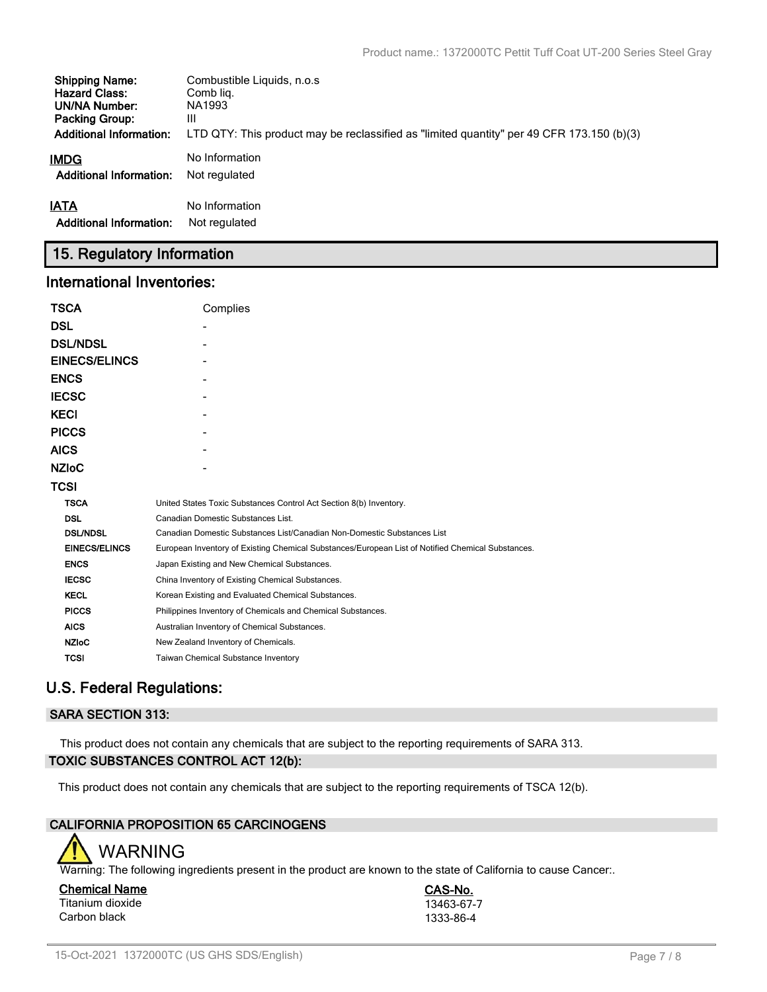| <b>Shipping Name:</b>          | Combustible Liquids, n.o.s.                                                               |
|--------------------------------|-------------------------------------------------------------------------------------------|
| <b>Hazard Class:</b>           | Comb lig.                                                                                 |
| UN/NA Number:                  | NA1993                                                                                    |
| <b>Packing Group:</b>          | Ш                                                                                         |
| <b>Additional Information:</b> | LTD QTY: This product may be reclassified as "limited quantity" per 49 CFR 173.150 (b)(3) |
| <b>IMDG</b>                    | No Information                                                                            |
| <b>Additional Information:</b> | Not regulated                                                                             |
| <b>IATA</b>                    | No Information                                                                            |
| <b>Additional Information:</b> | Not regulated                                                                             |

# **15. Regulatory Information**

# **International Inventories:**

| <b>TSCA</b>          | Complies                                                                                          |
|----------------------|---------------------------------------------------------------------------------------------------|
| <b>DSL</b>           |                                                                                                   |
| <b>DSL/NDSL</b>      |                                                                                                   |
| <b>EINECS/ELINCS</b> |                                                                                                   |
| <b>ENCS</b>          |                                                                                                   |
| <b>IECSC</b>         |                                                                                                   |
| <b>KECI</b>          |                                                                                                   |
| <b>PICCS</b>         |                                                                                                   |
| <b>AICS</b>          |                                                                                                   |
| <b>NZIOC</b>         |                                                                                                   |
| <b>TCSI</b>          |                                                                                                   |
| <b>TSCA</b>          | United States Toxic Substances Control Act Section 8(b) Inventory.                                |
| <b>DSL</b>           | Canadian Domestic Substances List.                                                                |
| <b>DSL/NDSL</b>      | Canadian Domestic Substances List/Canadian Non-Domestic Substances List                           |
| <b>EINECS/ELINCS</b> | European Inventory of Existing Chemical Substances/European List of Notified Chemical Substances. |
| <b>ENCS</b>          | Japan Existing and New Chemical Substances.                                                       |
| <b>IECSC</b>         | China Inventory of Existing Chemical Substances.                                                  |
| <b>KECL</b>          | Korean Existing and Evaluated Chemical Substances.                                                |
| <b>PICCS</b>         | Philippines Inventory of Chemicals and Chemical Substances.                                       |
| <b>AICS</b>          | Australian Inventory of Chemical Substances.                                                      |
| <b>NZIoC</b>         | New Zealand Inventory of Chemicals.                                                               |
| <b>TCSI</b>          | Taiwan Chemical Substance Inventory                                                               |

# **U.S. Federal Regulations:**

# **SARA SECTION 313:**

This product does not contain any chemicals that are subject to the reporting requirements of SARA 313. **TOXIC SUBSTANCES CONTROL ACT 12(b):**

This product does not contain any chemicals that are subject to the reporting requirements of TSCA 12(b).

# **CALIFORNIA PROPOSITION 65 CARCINOGENS**



Warning: The following ingredients present in the product are known to the state of California to cause Cancer..

**Chemical Name CAS-No.** Titanium dioxide 13463-67-7<br>Carbon black 1333-86-4 Carbon black